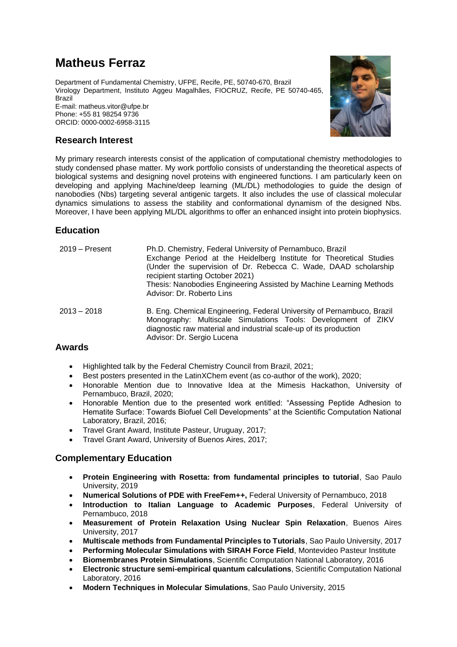# **Matheus Ferraz**

Department of Fundamental Chemistry, UFPE, Recife, PE, 50740-670, Brazil Virology Department, Instituto Aggeu Magalhães, FIOCRUZ, Recife, PE 50740-465, **Brazil** E-mail: matheus.vitor@ufpe.br

Phone: +55 81 98254 9736 ORCID: 0000-0002-6958-3115



## **Research Interest**

My primary research interests consist of the application of computational chemistry methodologies to study condensed phase matter. My work portfolio consists of understanding the theoretical aspects of biological systems and designing novel proteins with engineered functions. I am particularly keen on developing and applying Machine/deep learning (ML/DL) methodologies to guide the design of nanobodies (Nbs) targeting several antigenic targets. It also includes the use of classical molecular dynamics simulations to assess the stability and conformational dynamism of the designed Nbs. Moreover, I have been applying ML/DL algorithms to offer an enhanced insight into protein biophysics.

## **Education**

| $2019 -$ Present | Ph.D. Chemistry, Federal University of Pernambuco, Brazil<br>Exchange Period at the Heidelberg Institute for Theoretical Studies<br>(Under the supervision of Dr. Rebecca C. Wade, DAAD scholarship<br>recipient starting October 2021)<br>Thesis: Nanobodies Engineering Assisted by Machine Learning Methods<br>Advisor: Dr. Roberto Lins |
|------------------|---------------------------------------------------------------------------------------------------------------------------------------------------------------------------------------------------------------------------------------------------------------------------------------------------------------------------------------------|
| $2013 - 2018$    | B. Eng. Chemical Engineering, Federal University of Pernambuco, Brazil<br>Monography: Multiscale Simulations Tools: Development of ZIKV<br>diagnostic raw material and industrial scale-up of its production<br>Advisor: Dr. Sergio Lucena                                                                                                  |
| 1 <i></i>        |                                                                                                                                                                                                                                                                                                                                             |

### **Awards**

- Highlighted talk by the Federal Chemistry Council from Brazil, 2021;
- Best posters presented in the LatinXChem event (as co-author of the work), 2020;
- Honorable Mention due to Innovative Idea at the Mimesis Hackathon, University of Pernambuco, Brazil, 2020;
- Honorable Mention due to the presented work entitled: "Assessing Peptide Adhesion to Hematite Surface: Towards Biofuel Cell Developments" at the Scientific Computation National Laboratory, Brazil, 2016;
- Travel Grant Award, Institute Pasteur, Uruguay, 2017;
- Travel Grant Award, University of Buenos Aires, 2017;

### **Complementary Education**

- **Protein Engineering with Rosetta: from fundamental principles to tutorial**, Sao Paulo University, 2019
- **Numerical Solutions of PDE with FreeFem++,** Federal University of Pernambuco, 2018
- **Introduction to Italian Language to Academic Purposes**, Federal University of Pernambuco, 2018
- **Measurement of Protein Relaxation Using Nuclear Spin Relaxation**, Buenos Aires University, 2017
- **Multiscale methods from Fundamental Principles to Tutorials**, Sao Paulo University, 2017
- **Performing Molecular Simulations with SIRAH Force Field**, Montevideo Pasteur Institute
- **Biomembranes Protein Simulations**, Scientific Computation National Laboratory, 2016
- **Electronic structure semi-empirical quantum calculations**, Scientific Computation National Laboratory, 2016
- **Modern Techniques in Molecular Simulations**, Sao Paulo University, 2015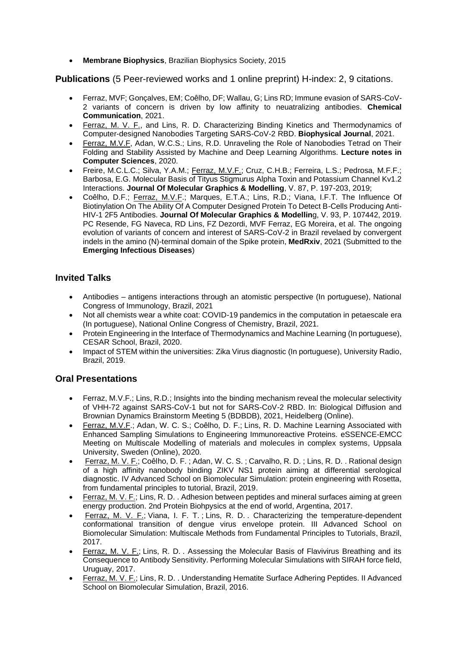• **Membrane Biophysics**, Brazilian Biophysics Society, 2015

## **Publications** (5 Peer-reviewed works and 1 online preprint) H-index: 2, 9 citations.

- Ferraz, MVF; Gonçalves, EM; Coêlho, DF; Wallau, G; Lins RD; Immune evasion of SARS-CoV-2 variants of concern is driven by low affinity to neuatralizing antibodies. **Chemical Communication**, 2021.
- Ferraz, M. V. F., and Lins, R. D. Characterizing Binding Kinetics and Thermodynamics of Computer-designed Nanobodies Targeting SARS-CoV-2 RBD. **Biophysical Journal**, 2021.
- Ferraz, M.V.F, Adan, W.C.S.; Lins, R.D. Unraveling the Role of Nanobodies Tetrad on Their Folding and Stability Assisted by Machine and Deep Learning Algorithms. **Lecture notes in Computer Sciences**, 2020.
- Freire, M.C.L.C.; Silva, Y.A.M.; Ferraz, M.V.F.; Cruz, C.H.B.; Ferreira, L.S.; Pedrosa, M.F.F.; Barbosa, E.G. Molecular Basis of Tityus Stigmurus Alpha Toxin and Potassium Channel Kv1.2 Interactions. **Journal Of Molecular Graphics & Modelling**, V. 87, P. 197-203, 2019;
- Coêlho, D.F.; Ferraz, M.V.F.; Marques, E.T.A.; Lins, R.D.; Viana, I.F.T. The Influence Of Biotinylation On The Ability Of A Computer Designed Protein To Detect B-Cells Producing Anti-HIV-1 2F5 Antibodies. **Journal Of Molecular Graphics & Modellin**g, V. 93, P. 107442, 2019. PC Resende, FG Naveca, RD Lins, FZ Dezordi, MVF Ferraz, EG Moreira, et al. The ongoing evolution of variants of concern and interest of SARS-CoV-2 in Brazil revelaed by convergent indels in the amino (N)-terminal domain of the Spike protein, **MedRxiv**, 2021 (Submitted to the **Emerging Infectious Diseases**)

# **Invited Talks**

- Antibodies antigens interactions through an atomistic perspective (In portuguese), National Congress of Immunology, Brazil, 2021
- Not all chemists wear a white coat: COVID-19 pandemics in the computation in petaescale era (In portuguese), National Online Congress of Chemistry, Brazil, 2021.
- Protein Engineering in the Interface of Thermodynamics and Machine Learning (In portuguese), CESAR School, Brazil, 2020.
- Impact of STEM within the universities: Zika Virus diagnostic (In portuguese), University Radio, Brazil, 2019.

## **Oral Presentations**

- Ferraz, M.V.F.; Lins, R.D.; Insights into the binding mechanism reveal the molecular selectivity of VHH-72 against SARS-CoV-1 but not for SARS-CoV-2 RBD. In: Biological Diffusion and Brownian Dynamics Brainstorm Meeting 5 (BDBDB), 2021, Heidelberg (Online).
- Ferraz, M.V.F.; Adan, W. C. S.; Coêlho, D. F.; Lins, R. D. Machine Learning Associated with Enhanced Sampling Simulations to Engineering Immunoreactive Proteins. eSSENCE-EMCC Meeting on Multiscale Modelling of materials and molecules in complex systems, Uppsala University, Sweden (Online), 2020.
- [Ferraz,](http://lattes.cnpq.br/5233658390186548) M. V. F.; Coêlho, D. F. ; Adan, W. C. S. ; Carvalho, R. D. ; [Lins,](http://lattes.cnpq.br/0935712216945804) R. D. . Rational design of a high affinity nanobody binding ZIKV NS1 protein aiming at differential serological diagnostic. IV Advanced School on Biomolecular Simulation: protein engineering with Rosetta, from fundamental principles to tutorial, Brazil, 2019.
- [Ferraz,](http://lattes.cnpq.br/5233658390186548) M. V. F.; [Lins,](http://lattes.cnpq.br/0935712216945804) R. D. . Adhesion between peptides and mineral surfaces aiming at green energy production. 2nd Protein Biohpysics at the end of world, Argentina, 2017.
- [Ferraz,](http://lattes.cnpq.br/5233658390186548) M. V. F.; [Viana,](http://lattes.cnpq.br/4169788857129111) I. F. T.; [Lins,](http://lattes.cnpq.br/0935712216945804) R. D.. Characterizing the temperature-dependent conformational transition of dengue virus envelope protein. III Advanced School on Biomolecular Simulation: Multiscale Methods from Fundamental Principles to Tutorials, Brazil, 2017.
- [Ferraz,](http://lattes.cnpq.br/5233658390186548) M. V. F.; [Lins,](http://lattes.cnpq.br/0935712216945804) R. D. . Assessing the Molecular Basis of Flavivirus Breathing and its Consequence to Antibody Sensitivity. Performing Molecular Simulations with SIRAH force field, Uruguay, 2017.
- Ferraz, M. V. F.; Lins, R. D., Understanding Hematite Surface Adhering Peptides. II Advanced School on Biomolecular Simulation, Brazil, 2016.